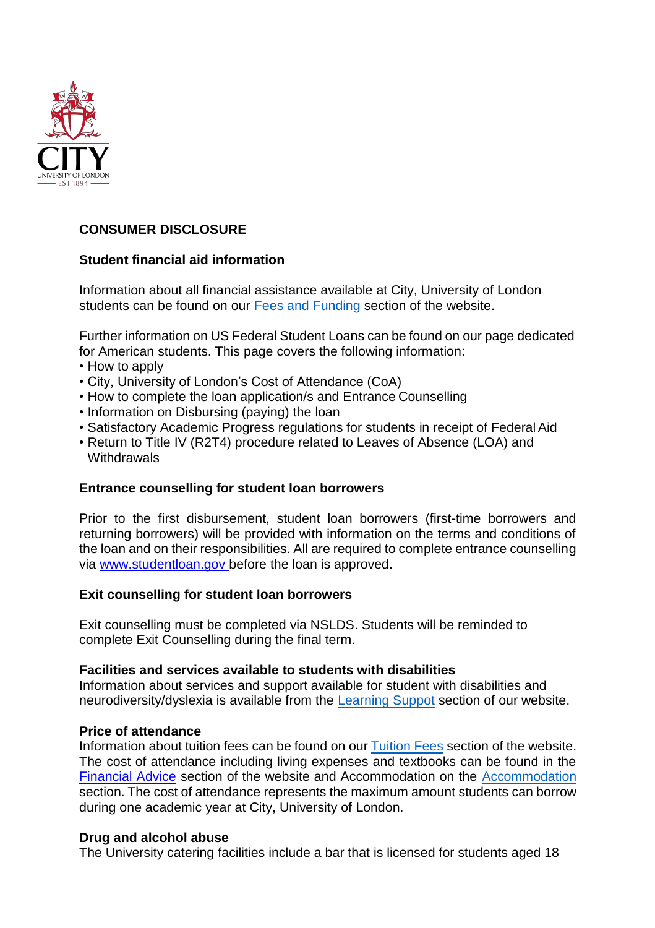

## **CONSUMER DISCLOSURE**

## **Student financial aid information**

Information about all financial assistance available at City, University of London students can be found on our [Fees and Funding](https://www.city.ac.uk/study/fees-and-funding) section of the website.

Further information on US Federal Student Loans can be found on our page dedicated for American students. This page covers the following information:

- How to apply
- City, University of London's Cost of Attendance (CoA)
- How to complete the loan application/s and Entrance Counselling
- Information on Disbursing (paying) the loan
- Satisfactory Academic Progress regulations for students in receipt of Federal Aid
- Return to Title IV (R2T4) procedure related to Leaves of Absence (LOA) and **Withdrawals**

## **Entrance counselling for student loan borrowers**

Prior to the first disbursement, student loan borrowers (first-time borrowers and returning borrowers) will be provided with information on the terms and conditions of the loan and on their responsibilities. All are required to complete entrance counselling via [www.studentloan.gov before t](http://www.studentloan.govbefore/)he loan is approved.

## **Exit counselling for student loan borrowers**

Exit counselling must be completed via NSLDS. Students will be reminded to complete Exit Counselling during the final term.

## **Facilities and services available to students with disabilities**

Information about services and support available for student with disabilities and neurodiversity/dyslexia is available from the [Learning Suppot](https://www.city.ac.uk/lead/learning-success) section of our website.

#### **Price of attendance**

Information about tuition fees can be found on our [Tuition](https://www.city.ac.uk/study/fees-and-funding/fees) Fees section of the website. The cost of attendance including living expenses and textbooks can be found in the [Financial Advice](https://www.city.ac.uk/prospective-students/finance/funding/united-states-loans) section of the website and Accommodation on the [Accommodation](https://www.city.ac.uk/study/living-in-london/accommodation) section. The cost of attendance represents the maximum amount students can borrow during one academic year at City, University of London.

#### **Drug and alcohol abuse**

The University catering facilities include a bar that is licensed for students aged 18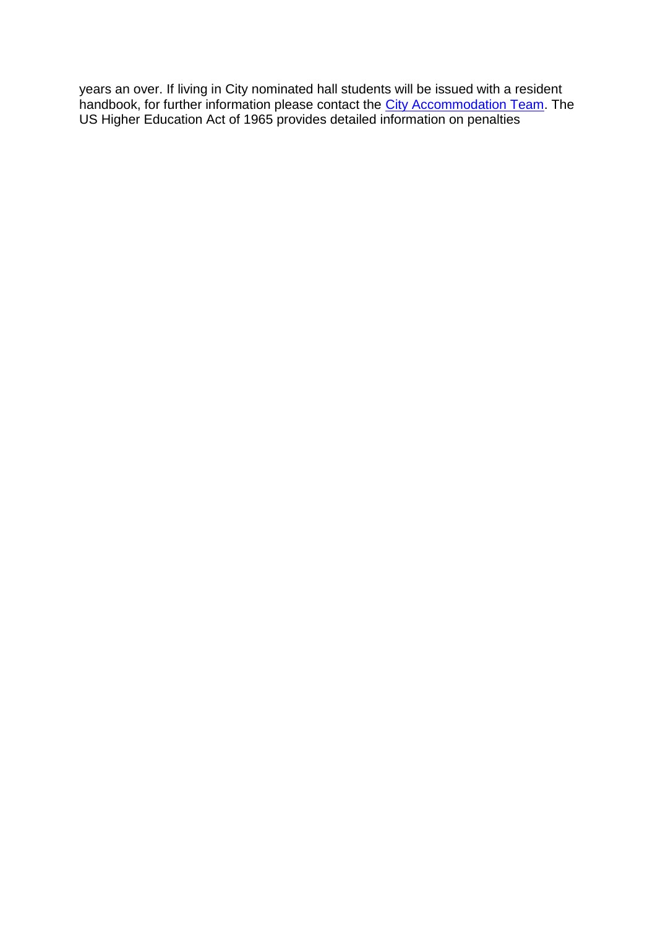years an over. If living in City nominated hall students will be issued with a resident handbook, for further information please contact the *City Accommodation Team*. The US Higher Education Act of 1965 provides detailed information on penalties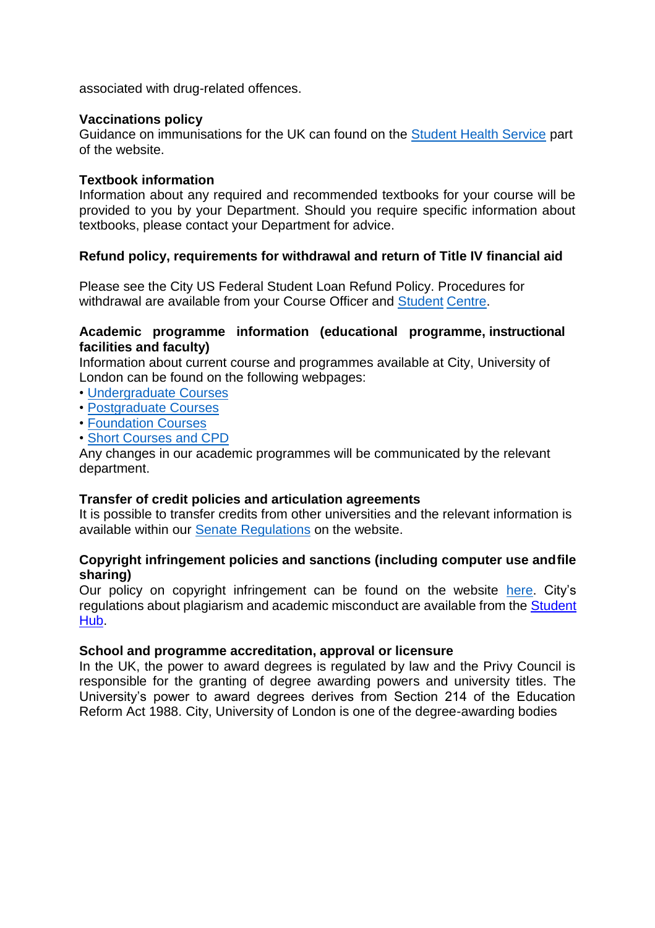associated with drug-related offences.

#### **Vaccinations policy**

Guidance on immunisations for the UK can found on the [Student Health Service](https://www.city.ac.uk/current-students/health-wellbeing-sport/student-health-service/international-students/immunisations) part of the website.

#### **Textbook information**

Information about any required and recommended textbooks for your course will be provided to you by your Department. Should you require specific information about textbooks, please contact your Department for advice.

## **Refund policy, requirements for withdrawal and return of Title IV financial aid**

Please see the City US Federal Student Loan Refund Policy. Procedures for withdrawal are available from your Course Officer and [Student](https://www.city.ac.uk/student-centre) [Centre.](https://www.city.ac.uk/student-centre)

## **Academic programme information (educational programme, instructional facilities and faculty)**

Information about current course and programmes available at City, University of London can be found on the following webpages:

- [Undergraduate](https://www.city.ac.uk/study/courses) Courses
- [Postgraduate Courses](https://www.city.ac.uk/study/courses)
- [Foundation](https://www.city.ac.uk/study/courses) Courses
- [Short Courses and](https://www.city.ac.uk/study/courses) CPD

Any changes in our academic programmes will be communicated by the relevant department.

## **Transfer of credit policies and articulation agreements**

It is possible to transfer credits from other universities and the relevant information is available within our [Senate Regulations](https://www.city.ac.uk/about/city-information/governance/constitution/senate-regulations) on the website.

## **Copyright infringement policies and sanctions (including computer use andfile sharing)**

Our policy on copyright infringement can be found on the website [here.](https://www.city.ac.uk/library/support/copyright) City's regulations about plagiarism and academic misconduct are available from the [Student](https://studenthub.city.ac.uk/)  [Hub.](https://studenthub.city.ac.uk/)

#### **School and programme accreditation, approval or licensure**

In the UK, the power to award degrees is regulated by law and the Privy Council is responsible for the granting of degree awarding powers and university titles. The University's power to award degrees derives from Section 214 of the Education Reform Act 1988. City, University of London is one of the degree-awarding bodies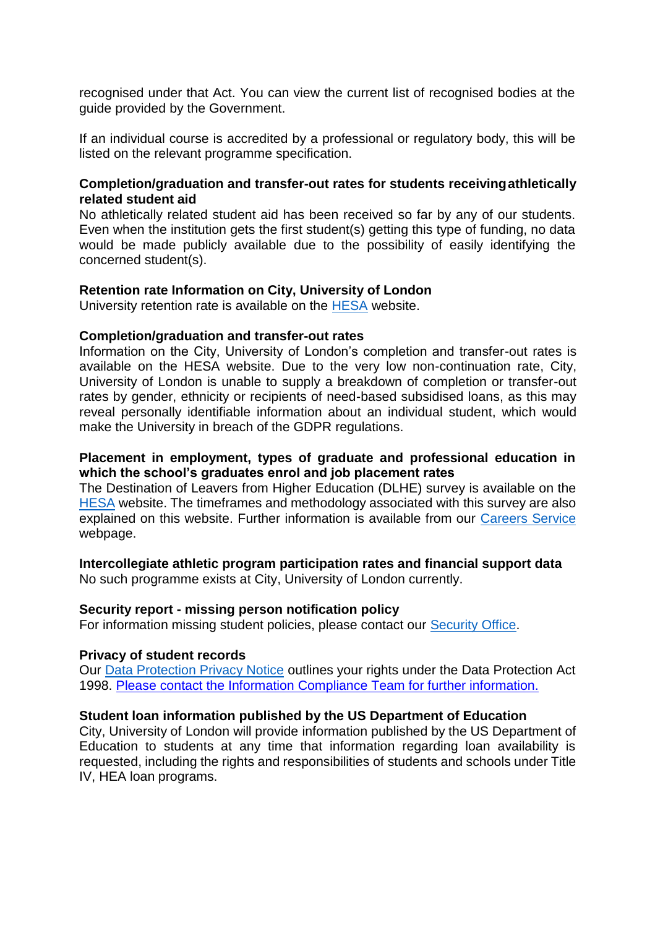recognised under that Act. You can view the current list of recognised bodies at the guide provided by the Government.

If an individual course is accredited by a professional or regulatory body, this will be listed on the relevant programme specification.

## **Completion/graduation and transfer-out rates for students receivingathletically related student aid**

No athletically related student aid has been received so far by any of our students. Even when the institution gets the first student(s) getting this type of funding, no data would be made publicly available due to the possibility of easily identifying the concerned student(s).

## **Retention rate Information on City, University of London**

University retention rate is available on the [HESA](https://www.hesa.ac.uk/?option=com_content&amp%3Btask=view&amp%3Bid=2072&amp%3BItemid=141) website.

#### **Completion/graduation and transfer-out rates**

Information on the City, University of London's completion and transfer-out rates is available on the HESA website. Due to the very low non-continuation rate, City, University of London is unable to supply a breakdown of completion or transfer-out rates by gender, ethnicity or recipients of need-based subsidised loans, as this may reveal personally identifiable information about an individual student, which would make the University in breach of the GDPR regulations.

## **Placement in employment, types of graduate and professional education in which the school's graduates enrol and job placement rates**

The Destination of Leavers from Higher Education (DLHE) survey is available on the [HESA](https://www.hesa.ac.uk/?option=com_content&amp%3Btask=view&amp%3Bid=2072&amp%3BItemid=141) website. The timeframes and methodology associated with this survey are also explained on this website. Further information is available from our [Careers Service](https://www.city.ac.uk/careers) webpage.

## **Intercollegiate athletic program participation rates and financial support data**

No such programme exists at City, University of London currently.

## **Security report - missing person notification policy**

For information missing student policies, please contact our [Security Office.](https://www.city.ac.uk/contact#tab%3Dtab-3)

#### **Privacy of student records**

Our [Data Protection Privacy Notice](https://www.city.ac.uk/about/city-information/legal/data-protection) outlines your rights under the Data Protection Act 1998. [Please contact the Information Compliance Team for further information.](https://www.city.ac.uk/about/governance/legal/freedom-of-information)

## **Student loan information published by the US Department of Education**

City, University of London will provide information published by the US Department of Education to students at any time that information regarding loan availability is requested, including the rights and responsibilities of students and schools under Title IV, HEA loan programs.